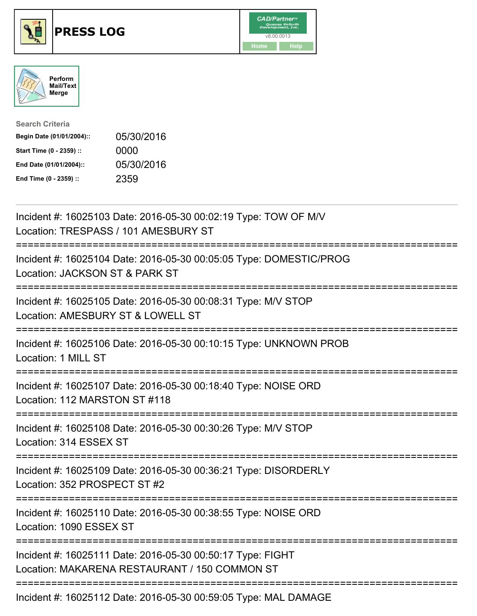





| <b>Search Criteria</b>    |            |
|---------------------------|------------|
| Begin Date (01/01/2004):: | 05/30/2016 |
| Start Time (0 - 2359) ::  | 0000       |
| End Date (01/01/2004)::   | 05/30/2016 |
| End Time (0 - 2359) ::    | 2359       |

| Incident #: 16025103 Date: 2016-05-30 00:02:19 Type: TOW OF M/V<br>Location: TRESPASS / 101 AMESBURY ST                                                       |
|---------------------------------------------------------------------------------------------------------------------------------------------------------------|
| Incident #: 16025104 Date: 2016-05-30 00:05:05 Type: DOMESTIC/PROG<br>Location: JACKSON ST & PARK ST                                                          |
| Incident #: 16025105 Date: 2016-05-30 00:08:31 Type: M/V STOP<br>Location: AMESBURY ST & LOWELL ST<br>========================<br>:========================== |
| Incident #: 16025106 Date: 2016-05-30 00:10:15 Type: UNKNOWN PROB<br>Location: 1 MILL ST<br>:===============================                                  |
| Incident #: 16025107 Date: 2016-05-30 00:18:40 Type: NOISE ORD<br>Location: 112 MARSTON ST #118                                                               |
| Incident #: 16025108 Date: 2016-05-30 00:30:26 Type: M/V STOP<br>Location: 314 ESSEX ST                                                                       |
| Incident #: 16025109 Date: 2016-05-30 00:36:21 Type: DISORDERLY<br>Location: 352 PROSPECT ST #2                                                               |
| Incident #: 16025110 Date: 2016-05-30 00:38:55 Type: NOISE ORD<br>Location: 1090 ESSEX ST                                                                     |
| Incident #: 16025111 Date: 2016-05-30 00:50:17 Type: FIGHT<br>Location: MAKARENA RESTAURANT / 150 COMMON ST                                                   |
| Incident #: 16025112 Date: 2016-05-30 00:59:05 Type: MAL DAMAGE                                                                                               |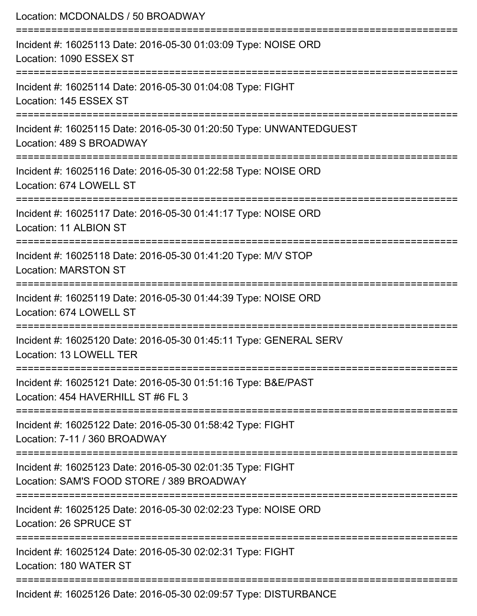| Location: MCDONALDS / 50 BROADWAY                                                                                                    |
|--------------------------------------------------------------------------------------------------------------------------------------|
| Incident #: 16025113 Date: 2016-05-30 01:03:09 Type: NOISE ORD<br>Location: 1090 ESSEX ST                                            |
| Incident #: 16025114 Date: 2016-05-30 01:04:08 Type: FIGHT<br>Location: 145 ESSEX ST                                                 |
| Incident #: 16025115 Date: 2016-05-30 01:20:50 Type: UNWANTEDGUEST<br>Location: 489 S BROADWAY<br>================================== |
| Incident #: 16025116 Date: 2016-05-30 01:22:58 Type: NOISE ORD<br>Location: 674 LOWELL ST                                            |
| Incident #: 16025117 Date: 2016-05-30 01:41:17 Type: NOISE ORD<br>Location: 11 ALBION ST                                             |
| Incident #: 16025118 Date: 2016-05-30 01:41:20 Type: M/V STOP<br><b>Location: MARSTON ST</b>                                         |
| Incident #: 16025119 Date: 2016-05-30 01:44:39 Type: NOISE ORD<br>Location: 674 LOWELL ST                                            |
| Incident #: 16025120 Date: 2016-05-30 01:45:11 Type: GENERAL SERV<br>Location: 13 LOWELL TER                                         |
| Incident #: 16025121 Date: 2016-05-30 01:51:16 Type: B&E/PAST<br>Location: 454 HAVERHILL ST #6 FL 3                                  |
| Incident #: 16025122 Date: 2016-05-30 01:58:42 Type: FIGHT<br>Location: 7-11 / 360 BROADWAY                                          |
| Incident #: 16025123 Date: 2016-05-30 02:01:35 Type: FIGHT<br>Location: SAM'S FOOD STORE / 389 BROADWAY                              |
| Incident #: 16025125 Date: 2016-05-30 02:02:23 Type: NOISE ORD<br>Location: 26 SPRUCE ST                                             |
| Incident #: 16025124 Date: 2016-05-30 02:02:31 Type: FIGHT<br>Location: 180 WATER ST                                                 |
| Incident #: 16025126 Date: 2016-05-30 02:09:57 Type: DISTURBANCE                                                                     |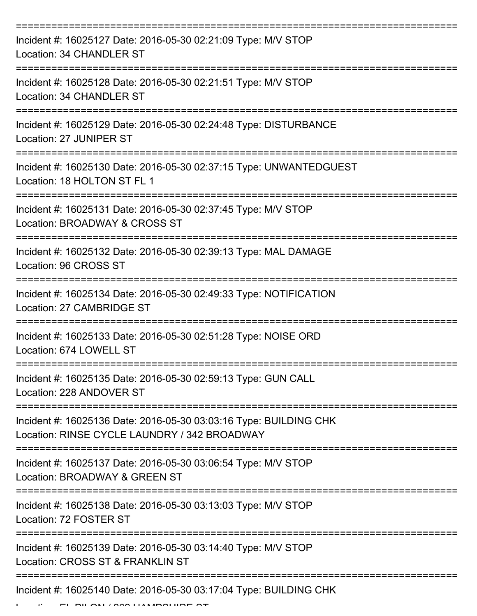| Incident #: 16025127 Date: 2016-05-30 02:21:09 Type: M/V STOP<br>Location: 34 CHANDLER ST                         |
|-------------------------------------------------------------------------------------------------------------------|
| Incident #: 16025128 Date: 2016-05-30 02:21:51 Type: M/V STOP<br>Location: 34 CHANDLER ST                         |
| Incident #: 16025129 Date: 2016-05-30 02:24:48 Type: DISTURBANCE<br>Location: 27 JUNIPER ST                       |
| Incident #: 16025130 Date: 2016-05-30 02:37:15 Type: UNWANTEDGUEST<br>Location: 18 HOLTON ST FL 1                 |
| Incident #: 16025131 Date: 2016-05-30 02:37:45 Type: M/V STOP<br>Location: BROADWAY & CROSS ST                    |
| Incident #: 16025132 Date: 2016-05-30 02:39:13 Type: MAL DAMAGE<br>Location: 96 CROSS ST                          |
| Incident #: 16025134 Date: 2016-05-30 02:49:33 Type: NOTIFICATION<br>Location: 27 CAMBRIDGE ST                    |
| Incident #: 16025133 Date: 2016-05-30 02:51:28 Type: NOISE ORD<br>Location: 674 LOWELL ST                         |
| Incident #: 16025135 Date: 2016-05-30 02:59:13 Type: GUN CALL<br>Location: 228 ANDOVER ST                         |
| Incident #: 16025136 Date: 2016-05-30 03:03:16 Type: BUILDING CHK<br>Location: RINSE CYCLE LAUNDRY / 342 BROADWAY |
| Incident #: 16025137 Date: 2016-05-30 03:06:54 Type: M/V STOP<br>Location: BROADWAY & GREEN ST                    |
| Incident #: 16025138 Date: 2016-05-30 03:13:03 Type: M/V STOP<br>Location: 72 FOSTER ST                           |
| Incident #: 16025139 Date: 2016-05-30 03:14:40 Type: M/V STOP<br>Location: CROSS ST & FRANKLIN ST                 |
| Incident #: 16025140 Date: 2016-05-30 03:17:04 Type: BUILDING CHK                                                 |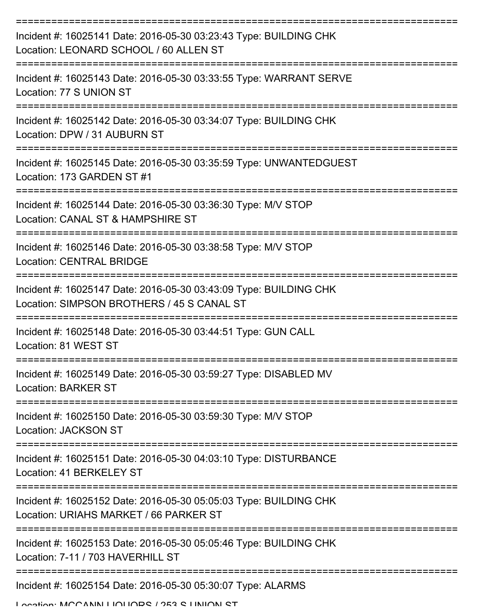| Incident #: 16025141 Date: 2016-05-30 03:23:43 Type: BUILDING CHK<br>Location: LEONARD SCHOOL / 60 ALLEN ST              |
|--------------------------------------------------------------------------------------------------------------------------|
| Incident #: 16025143 Date: 2016-05-30 03:33:55 Type: WARRANT SERVE<br>Location: 77 S UNION ST                            |
| Incident #: 16025142 Date: 2016-05-30 03:34:07 Type: BUILDING CHK<br>Location: DPW / 31 AUBURN ST                        |
| Incident #: 16025145 Date: 2016-05-30 03:35:59 Type: UNWANTEDGUEST<br>Location: 173 GARDEN ST #1                         |
| Incident #: 16025144 Date: 2016-05-30 03:36:30 Type: M/V STOP<br>Location: CANAL ST & HAMPSHIRE ST<br>================== |
| Incident #: 16025146 Date: 2016-05-30 03:38:58 Type: M/V STOP<br><b>Location: CENTRAL BRIDGE</b>                         |
| Incident #: 16025147 Date: 2016-05-30 03:43:09 Type: BUILDING CHK<br>Location: SIMPSON BROTHERS / 45 S CANAL ST          |
| Incident #: 16025148 Date: 2016-05-30 03:44:51 Type: GUN CALL<br>Location: 81 WEST ST                                    |
| Incident #: 16025149 Date: 2016-05-30 03:59:27 Type: DISABLED MV<br><b>Location: BARKER ST</b>                           |
| Incident #: 16025150 Date: 2016-05-30 03:59:30 Type: M/V STOP<br><b>Location: JACKSON ST</b>                             |
| Incident #: 16025151 Date: 2016-05-30 04:03:10 Type: DISTURBANCE<br>Location: 41 BERKELEY ST                             |
| Incident #: 16025152 Date: 2016-05-30 05:05:03 Type: BUILDING CHK<br>Location: URIAHS MARKET / 66 PARKER ST              |
| Incident #: 16025153 Date: 2016-05-30 05:05:46 Type: BUILDING CHK<br>Location: 7-11 / 703 HAVERHILL ST                   |
| Incident #: 16025154 Date: 2016-05-30 05:30:07 Type: ALARMS<br>Location: MCCANINI LIOLIODE / 252 C LINIIONI CT           |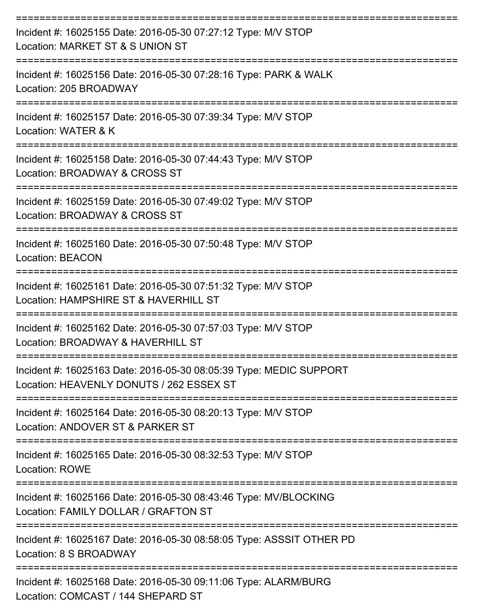| Incident #: 16025155 Date: 2016-05-30 07:27:12 Type: M/V STOP<br>Location: MARKET ST & S UNION ST<br>:============= |
|---------------------------------------------------------------------------------------------------------------------|
| Incident #: 16025156 Date: 2016-05-30 07:28:16 Type: PARK & WALK<br>Location: 205 BROADWAY                          |
| Incident #: 16025157 Date: 2016-05-30 07:39:34 Type: M/V STOP<br>Location: WATER & K                                |
| Incident #: 16025158 Date: 2016-05-30 07:44:43 Type: M/V STOP<br>Location: BROADWAY & CROSS ST                      |
| Incident #: 16025159 Date: 2016-05-30 07:49:02 Type: M/V STOP<br>Location: BROADWAY & CROSS ST                      |
| Incident #: 16025160 Date: 2016-05-30 07:50:48 Type: M/V STOP<br><b>Location: BEACON</b>                            |
| Incident #: 16025161 Date: 2016-05-30 07:51:32 Type: M/V STOP<br>Location: HAMPSHIRE ST & HAVERHILL ST              |
| Incident #: 16025162 Date: 2016-05-30 07:57:03 Type: M/V STOP<br>Location: BROADWAY & HAVERHILL ST                  |
| Incident #: 16025163 Date: 2016-05-30 08:05:39 Type: MEDIC SUPPORT<br>Location: HEAVENLY DONUTS / 262 ESSEX ST      |
| Incident #: 16025164 Date: 2016-05-30 08:20:13 Type: M/V STOP<br>Location: ANDOVER ST & PARKER ST                   |
| Incident #: 16025165 Date: 2016-05-30 08:32:53 Type: M/V STOP<br><b>Location: ROWE</b>                              |
| Incident #: 16025166 Date: 2016-05-30 08:43:46 Type: MV/BLOCKING<br>Location: FAMILY DOLLAR / GRAFTON ST            |
| Incident #: 16025167 Date: 2016-05-30 08:58:05 Type: ASSSIT OTHER PD<br>Location: 8 S BROADWAY                      |
| Incident #: 16025168 Date: 2016-05-30 09:11:06 Type: ALARM/BURG<br>Location: COMCAST / 144 SHEPARD ST               |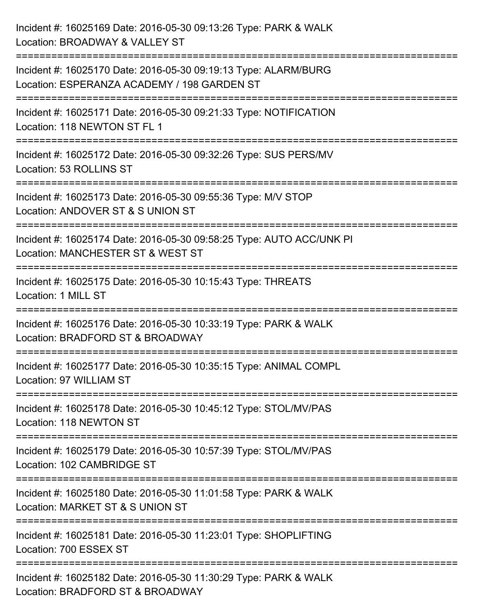| Incident #: 16025169 Date: 2016-05-30 09:13:26 Type: PARK & WALK<br>Location: BROADWAY & VALLEY ST                                                            |
|---------------------------------------------------------------------------------------------------------------------------------------------------------------|
| Incident #: 16025170 Date: 2016-05-30 09:19:13 Type: ALARM/BURG<br>Location: ESPERANZA ACADEMY / 198 GARDEN ST                                                |
| Incident #: 16025171 Date: 2016-05-30 09:21:33 Type: NOTIFICATION<br>Location: 118 NEWTON ST FL 1                                                             |
| =================================<br>Incident #: 16025172 Date: 2016-05-30 09:32:26 Type: SUS PERS/MV<br>Location: 53 ROLLINS ST                              |
| Incident #: 16025173 Date: 2016-05-30 09:55:36 Type: M/V STOP<br>Location: ANDOVER ST & S UNION ST                                                            |
| ================<br>Incident #: 16025174 Date: 2016-05-30 09:58:25 Type: AUTO ACC/UNK PI<br>Location: MANCHESTER ST & WEST ST<br>;=========================== |
| Incident #: 16025175 Date: 2016-05-30 10:15:43 Type: THREATS<br>Location: 1 MILL ST                                                                           |
| Incident #: 16025176 Date: 2016-05-30 10:33:19 Type: PARK & WALK<br>Location: BRADFORD ST & BROADWAY                                                          |
| Incident #: 16025177 Date: 2016-05-30 10:35:15 Type: ANIMAL COMPL<br>Location: 97 WILLIAM ST                                                                  |
| Incident #: 16025178 Date: 2016-05-30 10:45:12 Type: STOL/MV/PAS<br>Location: 118 NEWTON ST                                                                   |
| Incident #: 16025179 Date: 2016-05-30 10:57:39 Type: STOL/MV/PAS<br>Location: 102 CAMBRIDGE ST                                                                |
| Incident #: 16025180 Date: 2016-05-30 11:01:58 Type: PARK & WALK<br>Location: MARKET ST & S UNION ST                                                          |
| Incident #: 16025181 Date: 2016-05-30 11:23:01 Type: SHOPLIFTING<br>Location: 700 ESSEX ST                                                                    |
| Incident #: 16025182 Date: 2016-05-30 11:30:29 Type: PARK & WALK<br>Location: BRADFORD ST & BROADWAY                                                          |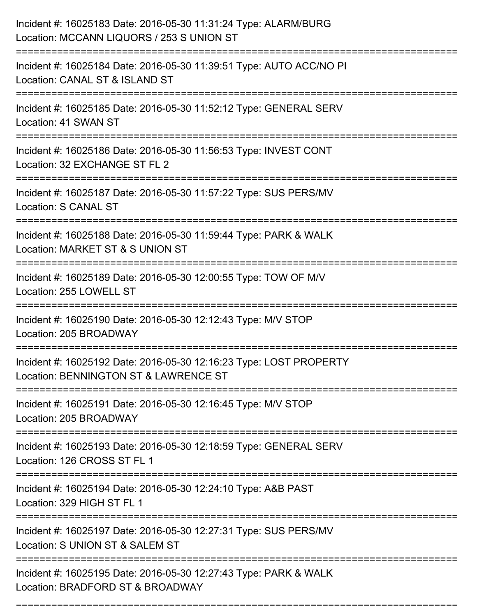| Incident #: 16025183 Date: 2016-05-30 11:31:24 Type: ALARM/BURG<br>Location: MCCANN LIQUORS / 253 S UNION ST<br>================================== |
|----------------------------------------------------------------------------------------------------------------------------------------------------|
| Incident #: 16025184 Date: 2016-05-30 11:39:51 Type: AUTO ACC/NO PI<br>Location: CANAL ST & ISLAND ST                                              |
| Incident #: 16025185 Date: 2016-05-30 11:52:12 Type: GENERAL SERV<br>Location: 41 SWAN ST                                                          |
| Incident #: 16025186 Date: 2016-05-30 11:56:53 Type: INVEST CONT<br>Location: 32 EXCHANGE ST FL 2                                                  |
| Incident #: 16025187 Date: 2016-05-30 11:57:22 Type: SUS PERS/MV<br><b>Location: S CANAL ST</b>                                                    |
| Incident #: 16025188 Date: 2016-05-30 11:59:44 Type: PARK & WALK<br>Location: MARKET ST & S UNION ST                                               |
| Incident #: 16025189 Date: 2016-05-30 12:00:55 Type: TOW OF M/V<br>Location: 255 LOWELL ST                                                         |
| Incident #: 16025190 Date: 2016-05-30 12:12:43 Type: M/V STOP<br>Location: 205 BROADWAY                                                            |
| Incident #: 16025192 Date: 2016-05-30 12:16:23 Type: LOST PROPERTY<br>Location: BENNINGTON ST & LAWRENCE ST                                        |
| Incident #: 16025191 Date: 2016-05-30 12:16:45 Type: M/V STOP<br>Location: 205 BROADWAY                                                            |
| Incident #: 16025193 Date: 2016-05-30 12:18:59 Type: GENERAL SERV<br>Location: 126 CROSS ST FL 1                                                   |
| Incident #: 16025194 Date: 2016-05-30 12:24:10 Type: A&B PAST<br>Location: 329 HIGH ST FL 1                                                        |
| Incident #: 16025197 Date: 2016-05-30 12:27:31 Type: SUS PERS/MV<br>Location: S UNION ST & SALEM ST                                                |
| Incident #: 16025195 Date: 2016-05-30 12:27:43 Type: PARK & WALK<br>Location: BRADFORD ST & BROADWAY                                               |

===========================================================================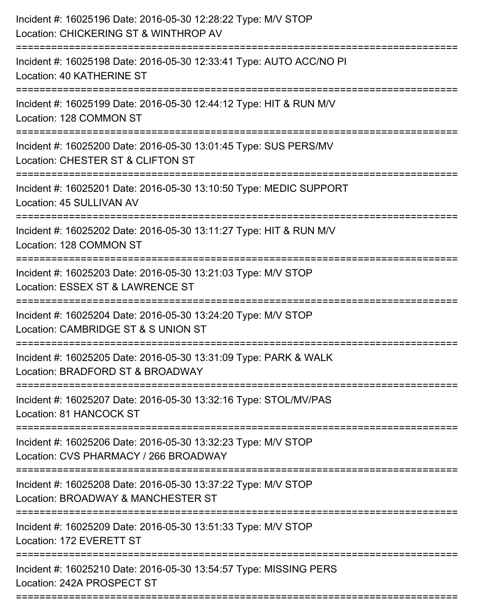| Incident #: 16025196 Date: 2016-05-30 12:28:22 Type: M/V STOP<br>Location: CHICKERING ST & WINTHROP AV |
|--------------------------------------------------------------------------------------------------------|
| Incident #: 16025198 Date: 2016-05-30 12:33:41 Type: AUTO ACC/NO PI<br>Location: 40 KATHERINE ST       |
| Incident #: 16025199 Date: 2016-05-30 12:44:12 Type: HIT & RUN M/V<br>Location: 128 COMMON ST          |
| Incident #: 16025200 Date: 2016-05-30 13:01:45 Type: SUS PERS/MV<br>Location: CHESTER ST & CLIFTON ST  |
| Incident #: 16025201 Date: 2016-05-30 13:10:50 Type: MEDIC SUPPORT<br>Location: 45 SULLIVAN AV         |
| Incident #: 16025202 Date: 2016-05-30 13:11:27 Type: HIT & RUN M/V<br>Location: 128 COMMON ST          |
| Incident #: 16025203 Date: 2016-05-30 13:21:03 Type: M/V STOP<br>Location: ESSEX ST & LAWRENCE ST      |
| Incident #: 16025204 Date: 2016-05-30 13:24:20 Type: M/V STOP<br>Location: CAMBRIDGE ST & S UNION ST   |
| Incident #: 16025205 Date: 2016-05-30 13:31:09 Type: PARK & WALK<br>Location: BRADFORD ST & BROADWAY   |
| Incident #: 16025207 Date: 2016-05-30 13:32:16 Type: STOL/MV/PAS<br>Location: 81 HANCOCK ST            |
| Incident #: 16025206 Date: 2016-05-30 13:32:23 Type: M/V STOP<br>Location: CVS PHARMACY / 266 BROADWAY |
| Incident #: 16025208 Date: 2016-05-30 13:37:22 Type: M/V STOP<br>Location: BROADWAY & MANCHESTER ST    |
| Incident #: 16025209 Date: 2016-05-30 13:51:33 Type: M/V STOP<br>Location: 172 EVERETT ST              |
| Incident #: 16025210 Date: 2016-05-30 13:54:57 Type: MISSING PERS<br>Location: 242A PROSPECT ST        |
|                                                                                                        |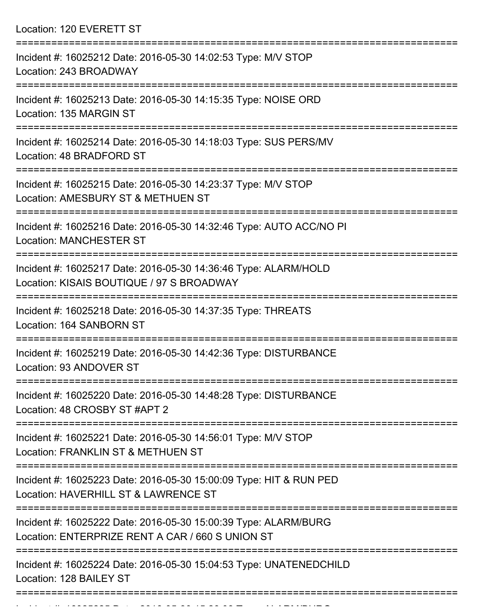Location: 120 EVERETT ST

| Incident #: 16025212 Date: 2016-05-30 14:02:53 Type: M/V STOP<br>Location: 243 BROADWAY                             |
|---------------------------------------------------------------------------------------------------------------------|
| Incident #: 16025213 Date: 2016-05-30 14:15:35 Type: NOISE ORD<br>Location: 135 MARGIN ST                           |
| Incident #: 16025214 Date: 2016-05-30 14:18:03 Type: SUS PERS/MV<br>Location: 48 BRADFORD ST                        |
| Incident #: 16025215 Date: 2016-05-30 14:23:37 Type: M/V STOP<br>Location: AMESBURY ST & METHUEN ST                 |
| Incident #: 16025216 Date: 2016-05-30 14:32:46 Type: AUTO ACC/NO PI<br><b>Location: MANCHESTER ST</b>               |
| Incident #: 16025217 Date: 2016-05-30 14:36:46 Type: ALARM/HOLD<br>Location: KISAIS BOUTIQUE / 97 S BROADWAY        |
| Incident #: 16025218 Date: 2016-05-30 14:37:35 Type: THREATS<br>Location: 164 SANBORN ST                            |
| Incident #: 16025219 Date: 2016-05-30 14:42:36 Type: DISTURBANCE<br>Location: 93 ANDOVER ST                         |
| Incident #: 16025220 Date: 2016-05-30 14:48:28 Type: DISTURBANCE<br>Location: 48 CROSBY ST #APT 2                   |
| Incident #: 16025221 Date: 2016-05-30 14:56:01 Type: M/V STOP<br>Location: FRANKLIN ST & METHUEN ST                 |
| Incident #: 16025223 Date: 2016-05-30 15:00:09 Type: HIT & RUN PED<br>Location: HAVERHILL ST & LAWRENCE ST          |
| Incident #: 16025222 Date: 2016-05-30 15:00:39 Type: ALARM/BURG<br>Location: ENTERPRIZE RENT A CAR / 660 S UNION ST |
| Incident #: 16025224 Date: 2016-05-30 15:04:53 Type: UNATENEDCHILD<br>Location: 128 BAILEY ST                       |
|                                                                                                                     |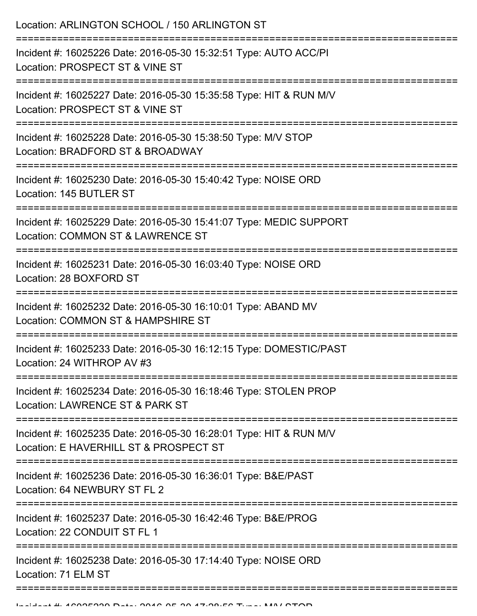Location: ARLINGTON SCHOOL / 150 ARLINGTON ST =========================================================================== Incident #: 16025226 Date: 2016-05-30 15:32:51 Type: AUTO ACC/PI Location: PROSPECT ST & VINE ST =========================================================================== Incident #: 16025227 Date: 2016-05-30 15:35:58 Type: HIT & RUN M/V Location: PROSPECT ST & VINE ST =========================================================================== Incident #: 16025228 Date: 2016-05-30 15:38:50 Type: M/V STOP Location: BRADFORD ST & BROADWAY =========================================================================== Incident #: 16025230 Date: 2016-05-30 15:40:42 Type: NOISE ORD Location: 145 BUTLER ST =========================================================================== Incident #: 16025229 Date: 2016-05-30 15:41:07 Type: MEDIC SUPPORT Location: COMMON ST & LAWRENCE ST =========================================================================== Incident #: 16025231 Date: 2016-05-30 16:03:40 Type: NOISE ORD Location: 28 BOXFORD ST =========================================================================== Incident #: 16025232 Date: 2016-05-30 16:10:01 Type: ABAND MV Location: COMMON ST & HAMPSHIRE ST =========================================================================== Incident #: 16025233 Date: 2016-05-30 16:12:15 Type: DOMESTIC/PAST Location: 24 WITHROP AV #3 =========================================================================== Incident #: 16025234 Date: 2016-05-30 16:18:46 Type: STOLEN PROP Location: LAWRENCE ST & PARK ST =========================================================================== Incident #: 16025235 Date: 2016-05-30 16:28:01 Type: HIT & RUN M/V Location: E HAVERHILL ST & PROSPECT ST =========================================================================== Incident #: 16025236 Date: 2016-05-30 16:36:01 Type: B&E/PAST Location: 64 NEWBURY ST FL 2 =========================================================================== Incident #: 16025237 Date: 2016-05-30 16:42:46 Type: B&E/PROG Location: 22 CONDUIT ST FL 1 =========================================================================== Incident #: 16025238 Date: 2016-05-30 17:14:40 Type: NOISE ORD Location: 71 ELM ST ===========================================================================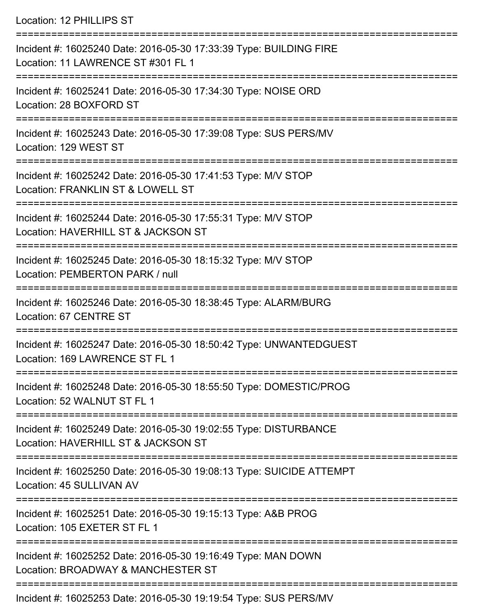Location: 12 PHILLIPS ST

| Incident #: 16025240 Date: 2016-05-30 17:33:39 Type: BUILDING FIRE<br>Location: 11 LAWRENCE ST #301 FL 1 |
|----------------------------------------------------------------------------------------------------------|
| Incident #: 16025241 Date: 2016-05-30 17:34:30 Type: NOISE ORD<br>Location: 28 BOXFORD ST                |
| Incident #: 16025243 Date: 2016-05-30 17:39:08 Type: SUS PERS/MV<br>Location: 129 WEST ST                |
| Incident #: 16025242 Date: 2016-05-30 17:41:53 Type: M/V STOP<br>Location: FRANKLIN ST & LOWELL ST       |
| Incident #: 16025244 Date: 2016-05-30 17:55:31 Type: M/V STOP<br>Location: HAVERHILL ST & JACKSON ST     |
| Incident #: 16025245 Date: 2016-05-30 18:15:32 Type: M/V STOP<br>Location: PEMBERTON PARK / null         |
| Incident #: 16025246 Date: 2016-05-30 18:38:45 Type: ALARM/BURG<br>Location: 67 CENTRE ST                |
| Incident #: 16025247 Date: 2016-05-30 18:50:42 Type: UNWANTEDGUEST<br>Location: 169 LAWRENCE ST FL 1     |
| Incident #: 16025248 Date: 2016-05-30 18:55:50 Type: DOMESTIC/PROG<br>Location: 52 WALNUT ST FL 1        |
| Incident #: 16025249 Date: 2016-05-30 19:02:55 Type: DISTURBANCE<br>Location: HAVERHILL ST & JACKSON ST  |
| Incident #: 16025250 Date: 2016-05-30 19:08:13 Type: SUICIDE ATTEMPT<br>Location: 45 SULLIVAN AV         |
| Incident #: 16025251 Date: 2016-05-30 19:15:13 Type: A&B PROG<br>Location: 105 EXETER ST FL 1            |
| Incident #: 16025252 Date: 2016-05-30 19:16:49 Type: MAN DOWN<br>Location: BROADWAY & MANCHESTER ST      |
| Incident #: 16025253 Date: 2016-05-30 19:19:54 Type: SUS PERS/MV                                         |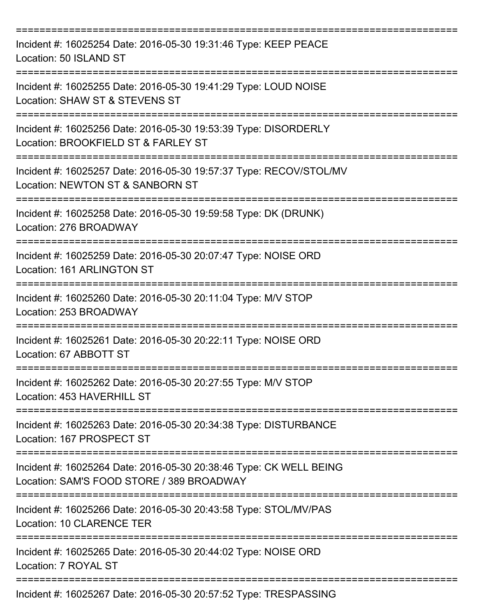| Incident #: 16025254 Date: 2016-05-30 19:31:46 Type: KEEP PEACE<br>Location: 50 ISLAND ST<br>----------------------------- |
|----------------------------------------------------------------------------------------------------------------------------|
| Incident #: 16025255 Date: 2016-05-30 19:41:29 Type: LOUD NOISE<br>Location: SHAW ST & STEVENS ST<br>===============       |
| Incident #: 16025256 Date: 2016-05-30 19:53:39 Type: DISORDERLY<br>Location: BROOKFIELD ST & FARLEY ST                     |
| Incident #: 16025257 Date: 2016-05-30 19:57:37 Type: RECOV/STOL/MV<br>Location: NEWTON ST & SANBORN ST                     |
| Incident #: 16025258 Date: 2016-05-30 19:59:58 Type: DK (DRUNK)<br>Location: 276 BROADWAY                                  |
| Incident #: 16025259 Date: 2016-05-30 20:07:47 Type: NOISE ORD<br>Location: 161 ARLINGTON ST                               |
| Incident #: 16025260 Date: 2016-05-30 20:11:04 Type: M/V STOP<br>Location: 253 BROADWAY                                    |
| Incident #: 16025261 Date: 2016-05-30 20:22:11 Type: NOISE ORD<br>Location: 67 ABBOTT ST                                   |
| Incident #: 16025262 Date: 2016-05-30 20:27:55 Type: M/V STOP<br>Location: 453 HAVERHILL ST                                |
| Incident #: 16025263 Date: 2016-05-30 20:34:38 Type: DISTURBANCE<br>Location: 167 PROSPECT ST                              |
| Incident #: 16025264 Date: 2016-05-30 20:38:46 Type: CK WELL BEING<br>Location: SAM'S FOOD STORE / 389 BROADWAY            |
| Incident #: 16025266 Date: 2016-05-30 20:43:58 Type: STOL/MV/PAS<br>Location: 10 CLARENCE TER                              |
| Incident #: 16025265 Date: 2016-05-30 20:44:02 Type: NOISE ORD<br>Location: 7 ROYAL ST                                     |
| Incident #: 16025267 Date: 2016-05-30 20:57:52 Type: TRESPASSING                                                           |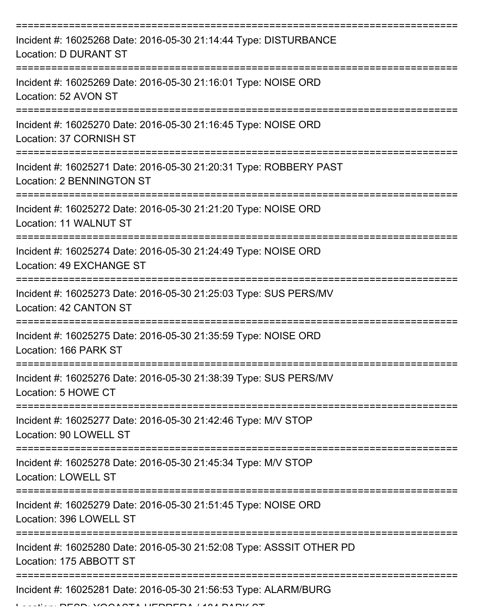| Incident #: 16025268 Date: 2016-05-30 21:14:44 Type: DISTURBANCE<br><b>Location: D DURANT ST</b>                             |
|------------------------------------------------------------------------------------------------------------------------------|
| Incident #: 16025269 Date: 2016-05-30 21:16:01 Type: NOISE ORD<br>Location: 52 AVON ST                                       |
| Incident #: 16025270 Date: 2016-05-30 21:16:45 Type: NOISE ORD<br>Location: 37 CORNISH ST                                    |
| Incident #: 16025271 Date: 2016-05-30 21:20:31 Type: ROBBERY PAST<br>Location: 2 BENNINGTON ST                               |
| Incident #: 16025272 Date: 2016-05-30 21:21:20 Type: NOISE ORD<br>Location: 11 WALNUT ST                                     |
| ==============================<br>Incident #: 16025274 Date: 2016-05-30 21:24:49 Type: NOISE ORD<br>Location: 49 EXCHANGE ST |
| Incident #: 16025273 Date: 2016-05-30 21:25:03 Type: SUS PERS/MV<br>Location: 42 CANTON ST                                   |
| Incident #: 16025275 Date: 2016-05-30 21:35:59 Type: NOISE ORD<br>Location: 166 PARK ST                                      |
| Incident #: 16025276 Date: 2016-05-30 21:38:39 Type: SUS PERS/MV<br>Location: 5 HOWE CT                                      |
| Incident #: 16025277 Date: 2016-05-30 21:42:46 Type: M/V STOP<br>Location: 90 LOWELL ST                                      |
| Incident #: 16025278 Date: 2016-05-30 21:45:34 Type: M/V STOP<br><b>Location: LOWELL ST</b>                                  |
| Incident #: 16025279 Date: 2016-05-30 21:51:45 Type: NOISE ORD<br>Location: 396 LOWELL ST                                    |
| Incident #: 16025280 Date: 2016-05-30 21:52:08 Type: ASSSIT OTHER PD<br>Location: 175 ABBOTT ST                              |
| Incident #: 16025281 Date: 2016-05-30 21:56:53 Type: ALARM/BURG                                                              |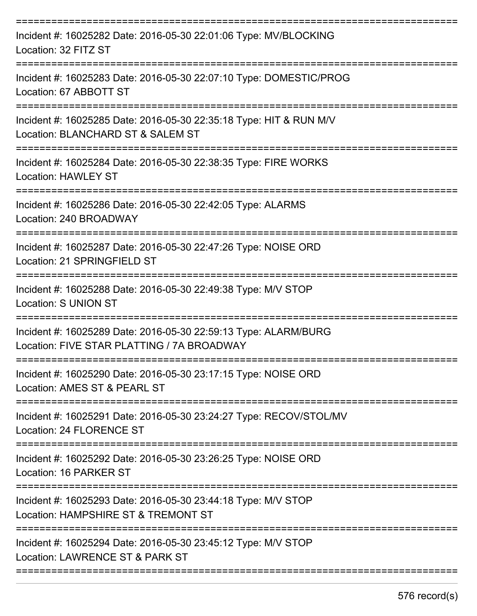| Incident #: 16025282 Date: 2016-05-30 22:01:06 Type: MV/BLOCKING<br>Location: 32 FITZ ST                             |
|----------------------------------------------------------------------------------------------------------------------|
| Incident #: 16025283 Date: 2016-05-30 22:07:10 Type: DOMESTIC/PROG<br>Location: 67 ABBOTT ST                         |
| Incident #: 16025285 Date: 2016-05-30 22:35:18 Type: HIT & RUN M/V<br>Location: BLANCHARD ST & SALEM ST              |
| Incident #: 16025284 Date: 2016-05-30 22:38:35 Type: FIRE WORKS<br><b>Location: HAWLEY ST</b><br>=================== |
| Incident #: 16025286 Date: 2016-05-30 22:42:05 Type: ALARMS<br>Location: 240 BROADWAY                                |
| Incident #: 16025287 Date: 2016-05-30 22:47:26 Type: NOISE ORD<br>Location: 21 SPRINGFIELD ST                        |
| Incident #: 16025288 Date: 2016-05-30 22:49:38 Type: M/V STOP<br><b>Location: S UNION ST</b>                         |
| Incident #: 16025289 Date: 2016-05-30 22:59:13 Type: ALARM/BURG<br>Location: FIVE STAR PLATTING / 7A BROADWAY        |
| Incident #: 16025290 Date: 2016-05-30 23:17:15 Type: NOISE ORD<br>Location: AMES ST & PEARL ST                       |
| Incident #: 16025291 Date: 2016-05-30 23:24:27 Type: RECOV/STOL/MV<br>Location: 24 FLORENCE ST                       |
| Incident #: 16025292 Date: 2016-05-30 23:26:25 Type: NOISE ORD<br>Location: 16 PARKER ST                             |
| Incident #: 16025293 Date: 2016-05-30 23:44:18 Type: M/V STOP<br>Location: HAMPSHIRE ST & TREMONT ST                 |
| Incident #: 16025294 Date: 2016-05-30 23:45:12 Type: M/V STOP<br>Location: LAWRENCE ST & PARK ST                     |
|                                                                                                                      |